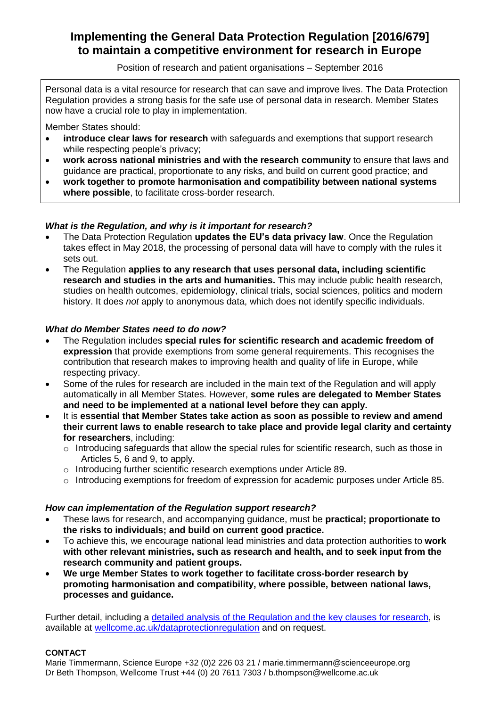# **Implementing the General Data Protection Regulation [2016/679] to maintain a competitive environment for research in Europe**

Position of research and patient organisations – September 2016

Personal data is a vital resource for research that can save and improve lives. The Data Protection Regulation provides a strong basis for the safe use of personal data in research. Member States now have a crucial role to play in implementation.

Member States should:

- **introduce clear laws for research** with safeguards and exemptions that support research while respecting people's privacy;
- **work across national ministries and with the research community** to ensure that laws and guidance are practical, proportionate to any risks, and build on current good practice; and
- **work together to promote harmonisation and compatibility between national systems where possible**, to facilitate cross-border research.

## *What is the Regulation, and why is it important for research?*

- The Data Protection Regulation **updates the EU's data privacy law**. Once the Regulation takes effect in May 2018, the processing of personal data will have to comply with the rules it sets out.
- The Regulation **applies to any research that uses personal data, including scientific research and studies in the arts and humanities.** This may include public health research, studies on health outcomes, epidemiology, clinical trials, social sciences, politics and modern history. It does *not* apply to anonymous data, which does not identify specific individuals.

### *What do Member States need to do now?*

- The Regulation includes **special rules for scientific research and academic freedom of expression** that provide exemptions from some general requirements. This recognises the contribution that research makes to improving health and quality of life in Europe, while respecting privacy.
- Some of the rules for research are included in the main text of the Regulation and will apply automatically in all Member States. However, **some rules are delegated to Member States and need to be implemented at a national level before they can apply.**
- It is **essential that Member States take action as soon as possible to review and amend their current laws to enable research to take place and provide legal clarity and certainty for researchers**, including:
	- $\circ$  Introducing safeguards that allow the special rules for scientific research, such as those in Articles 5, 6 and 9, to apply.
	- o Introducing further scientific research exemptions under Article 89.
	- $\circ$  Introducing exemptions for freedom of expression for academic purposes under Article 85.

## *How can implementation of the Regulation support research?*

- These laws for research, and accompanying guidance, must be **practical; proportionate to the risks to individuals; and build on current good practice.**
- To achieve this, we encourage national lead ministries and data protection authorities to **work with other relevant ministries, such as research and health, and to seek input from the research community and patient groups.**
- **We urge Member States to work together to facilitate cross-border research by promoting harmonisation and compatibility, where possible, between national laws, processes and guidance.**

Further detail, including a [detailed analysis of the Regulation and the key clauses for](https://wellcome.ac.uk/sites/default/files/new-data-protection-regulation-key-clauses-wellcome-jul16.pdf) research, is available at [wellcome.ac.uk/dataprotectionregulation](http://www.wellcome.ac.uk/dataprotectionregulation) and on request.

#### **CONTACT**